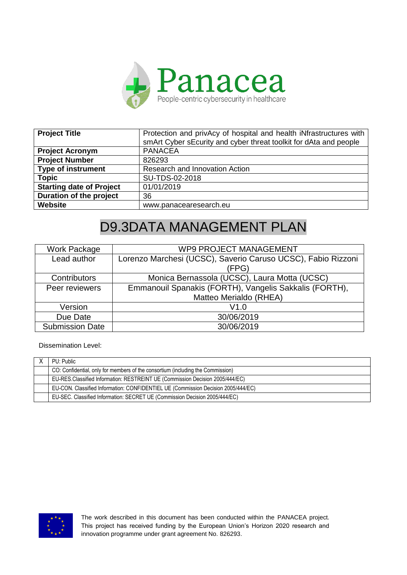

| <b>Project Title</b>            | Protection and privAcy of hospital and health iNfrastructures with<br>smArt Cyber sEcurity and cyber threat toolkit for dAta and people |
|---------------------------------|-----------------------------------------------------------------------------------------------------------------------------------------|
| <b>Project Acronym</b>          | <b>PANACEA</b>                                                                                                                          |
| <b>Project Number</b>           | 826293                                                                                                                                  |
| <b>Type of instrument</b>       | Research and Innovation Action                                                                                                          |
| <b>Topic</b>                    | SU-TDS-02-2018                                                                                                                          |
| <b>Starting date of Project</b> | 01/01/2019                                                                                                                              |
| Duration of the project         | 36                                                                                                                                      |
| Website                         | www.panacearesearch.eu                                                                                                                  |

# D9.3DATA MANAGEMENT PLAN

| Work Package           | <b>WP9 PROJECT MANAGEMENT</b>                                |  |
|------------------------|--------------------------------------------------------------|--|
| Lead author            | Lorenzo Marchesi (UCSC), Saverio Caruso UCSC), Fabio Rizzoni |  |
|                        | (FPG)                                                        |  |
| Contributors           | Monica Bernassola (UCSC), Laura Motta (UCSC)                 |  |
| Peer reviewers         | Emmanouil Spanakis (FORTH), Vangelis Sakkalis (FORTH),       |  |
|                        | Matteo Merialdo (RHEA)                                       |  |
| Version                | V1.0                                                         |  |
| Due Date               | 30/06/2019                                                   |  |
| <b>Submission Date</b> | 30/06/2019                                                   |  |

Dissemination Level:

| PU: Public                                                                        |
|-----------------------------------------------------------------------------------|
| CO: Confidential, only for members of the consortium (including the Commission)   |
| EU-RES. Classified Information: RESTREINT UE (Commission Decision 2005/444/EC)    |
| EU-CON. Classified Information: CONFIDENTIEL UE (Commission Decision 2005/444/EC) |
| EU-SEC. Classified Information: SECRET UE (Commission Decision 2005/444/EC)       |



The work described in this document has been conducted within the PANACEA project. This project has received funding by the European Union's Horizon 2020 research and innovation programme under grant agreement No. 826293.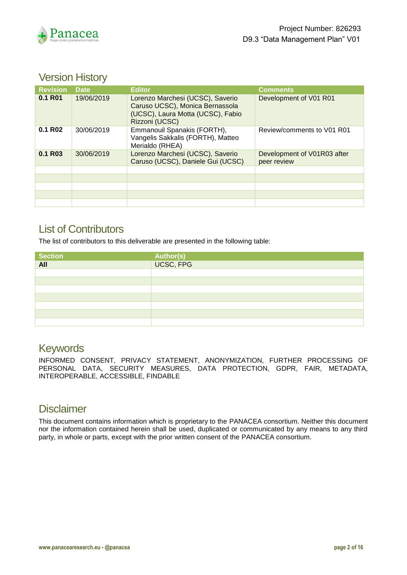

## Version History

| <b>Revision</b>     | <b>Date</b> | <b>Editor</b>                                                                                                              | <b>Comments</b>                            |
|---------------------|-------------|----------------------------------------------------------------------------------------------------------------------------|--------------------------------------------|
| 0.1 R <sub>01</sub> | 19/06/2019  | Lorenzo Marchesi (UCSC), Saverio<br>Caruso UCSC), Monica Bernassola<br>(UCSC), Laura Motta (UCSC), Fabio<br>Rizzoni (UCSC) | Development of V01 R01                     |
| 0.1 R <sub>02</sub> | 30/06/2019  | Emmanouil Spanakis (FORTH),<br>Vangelis Sakkalis (FORTH), Matteo<br>Merialdo (RHEA)                                        | Review/comments to V01 R01                 |
| 0.1 R <sub>03</sub> | 30/06/2019  | Lorenzo Marchesi (UCSC), Saverio<br>Caruso (UCSC), Daniele Gui (UCSC)                                                      | Development of V01R03 after<br>peer review |
|                     |             |                                                                                                                            |                                            |
|                     |             |                                                                                                                            |                                            |
|                     |             |                                                                                                                            |                                            |
|                     |             |                                                                                                                            |                                            |
|                     |             |                                                                                                                            |                                            |

# List of Contributors

The list of contributors to this deliverable are presented in the following table:

| <b>Section</b> | Author(s)<br>UCSC, FPG |
|----------------|------------------------|
| <b>All</b>     |                        |
|                |                        |
|                |                        |
|                |                        |
|                |                        |
|                |                        |
|                |                        |
|                |                        |

## Keywords

INFORMED CONSENT, PRIVACY STATEMENT, ANONYMIZATION, FURTHER PROCESSING OF PERSONAL DATA, SECURITY MEASURES, DATA PROTECTION, GDPR, FAIR, METADATA, INTEROPERABLE, ACCESSIBLE, FINDABLE

# **Disclaimer**

This document contains information which is proprietary to the PANACEA consortium. Neither this document nor the information contained herein shall be used, duplicated or communicated by any means to any third party, in whole or parts, except with the prior written consent of the PANACEA consortium.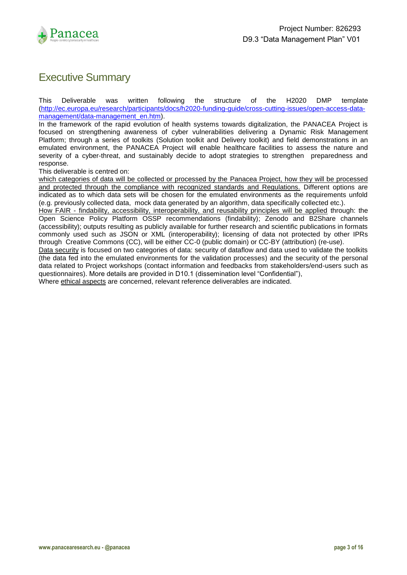

## Executive Summary

This Deliverable was written following the structure of the H2020 DMP template [\(http://ec.europa.eu/research/participants/docs/h2020-funding-guide/cross-cutting-issues/open-access-data](http://ec.europa.eu/research/participants/docs/h2020-funding-guide/cross-cutting-issues/open-access-data-management/data-management_en.htm)[management/data-management\\_en.htm\)](http://ec.europa.eu/research/participants/docs/h2020-funding-guide/cross-cutting-issues/open-access-data-management/data-management_en.htm).

In the framework of the rapid evolution of health systems towards digitalization, the PANACEA Project is focused on strengthening awareness of cyber vulnerabilities delivering a Dynamic Risk Management Platform; through a series of toolkits (Solution toolkit and Delivery toolkit) and field demonstrations in an emulated environment, the PANACEA Project will enable healthcare facilities to assess the nature and severity of a cyber-threat, and sustainably decide to adopt strategies to strengthen preparedness and response.

This deliverable is centred on:

which categories of data will be collected or processed by the Panacea Project, how they will be processed and protected through the compliance with recognized standards and Regulations. Different options are indicated as to which data sets will be chosen for the emulated environments as the requirements unfold (e.g. previously collected data, mock data generated by an algorithm, data specifically collected etc.).

How FAIR - findability, accessibility, interoperability, and reusability principles will be applied through: the Open Science Policy Platform OSSP recommendations (findability); Zenodo and B2Share channels (accessibility); outputs resulting as publicly available for further research and scientific publications in formats commonly used such as JSON or XML (interoperability); licensing of data not protected by other IPRs through Creative Commons (CC), will be either CC-0 (public domain) or CC-BY (attribution) (re-use).

Data security is focused on two categories of data: security of dataflow and data used to validate the toolkits (the data fed into the emulated environments for the validation processes) and the security of the personal data related to Project workshops (contact information and feedbacks from stakeholders/end-users such as questionnaires). More details are provided in D10.1 (dissemination level "Confidential"),

Where ethical aspects are concerned, relevant reference deliverables are indicated.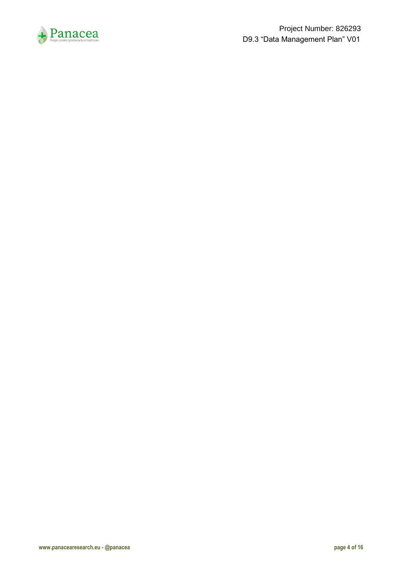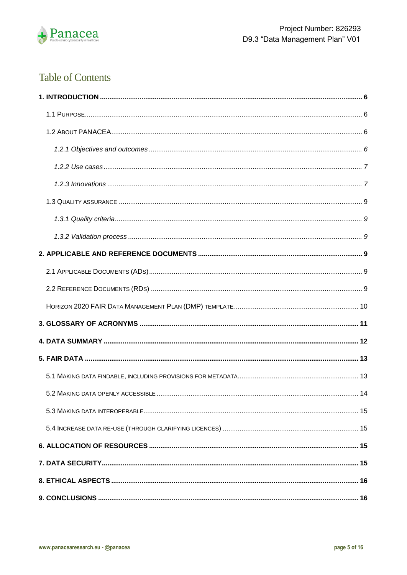

## **Table of Contents**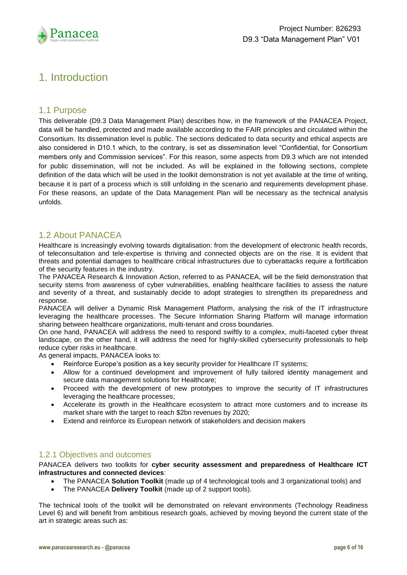

# <span id="page-5-0"></span>1. Introduction

### <span id="page-5-1"></span>1.1 Purpose

This deliverable (D9.3 Data Management Plan) describes how, in the framework of the PANACEA Project, data will be handled, protected and made available according to the FAIR principles and circulated within the Consortium. Its dissemination level is public. The sections dedicated to data security and ethical aspects are also considered in D10.1 which, to the contrary, is set as dissemination level "Confidential, for Consortium members only and Commission services". For this reason, some aspects from D9.3 which are not intended for public dissemination, will not be included. As will be explained in the following sections, complete definition of the data which will be used in the toolkit demonstration is not yet available at the time of writing, because it is part of a process which is still unfolding in the scenario and requirements development phase. For these reasons, an update of the Data Management Plan will be necessary as the technical analysis unfolds.

### <span id="page-5-2"></span>1.2 About PANACEA

Healthcare is increasingly evolving towards digitalisation: from the development of electronic health records, of teleconsultation and tele-expertise is thriving and connected objects are on the rise. It is evident that threats and potential damages to healthcare critical infrastructures due to cyberattacks require a fortification of the security features in the industry.

The PANACEA Research & Innovation Action, referred to as PANACEA, will be the field demonstration that security stems from awareness of cyber vulnerabilities, enabling healthcare facilities to assess the nature and severity of a threat, and sustainably decide to adopt strategies to strengthen its preparedness and response.

PANACEA will deliver a Dynamic Risk Management Platform, analysing the risk of the IT infrastructure leveraging the healthcare processes. The Secure Information Sharing Platform will manage information sharing between healthcare organizations, multi-tenant and cross boundaries.

On one hand, PANACEA will address the need to respond swiftly to a complex, multi-faceted cyber threat landscape, on the other hand, it will address the need for highly-skilled cybersecurity professionals to help reduce cyber risks in healthcare.

As general impacts, PANACEA looks to:

- Reinforce Europe's position as a key security provider for Healthcare IT systems;
- Allow for a continued development and improvement of fully tailored identity management and secure data management solutions for Healthcare;
- Proceed with the development of new prototypes to improve the security of IT infrastructures leveraging the healthcare processes;
- Accelerate its growth in the Healthcare ecosystem to attract more customers and to increase its market share with the target to reach \$2bn revenues by 2020;
- Extend and reinforce its European network of stakeholders and decision makers

#### <span id="page-5-3"></span>1.2.1 Objectives and outcomes

PANACEA delivers two toolkits for **cyber security assessment and preparedness of Healthcare ICT infrastructures and connected devices**:

- The PANACEA **Solution Toolkit** (made up of 4 technological tools and 3 organizational tools) and
- The PANACEA **Delivery Toolkit** (made up of 2 support tools).

The technical tools of the toolkit will be demonstrated on relevant environments (Technology Readiness Level 6) and will benefit from ambitious research goals, achieved by moving beyond the current state of the art in strategic areas such as: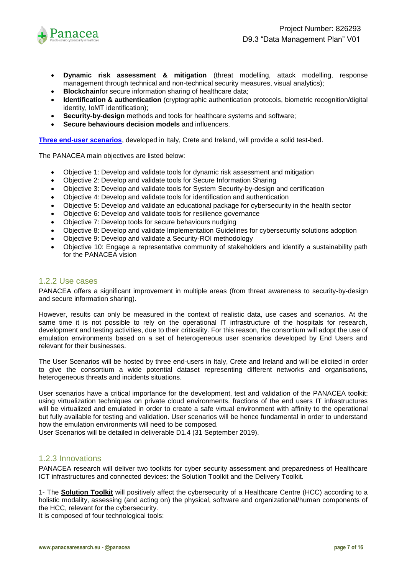

- **Dynamic risk assessment & mitigation** (threat modelling, attack modelling, response management through technical and non-technical security measures, visual analytics);
- **Blockchain**for secure information sharing of healthcare data;
- **Identification & authentication** (cryptographic authentication protocols, biometric recognition/digital identity, IoMT identification);
- **Security-by-design** methods and tools for healthcare systems and software;
- **Secure behaviours decision models** and influencers.

**[Three end-user scenarios](http://panaceadev.trust-itservices.com/use-cases)**, developed in Italy, Crete and Ireland, will provide a solid test-bed.

The PANACEA main objectives are listed below:

- Objective 1: Develop and validate tools for dynamic risk assessment and mitigation
- Objective 2: Develop and validate tools for Secure Information Sharing
- Objective 3: Develop and validate tools for System Security-by-design and certification
- Objective 4: Develop and validate tools for identification and authentication
- Objective 5: Develop and validate an educational package for cybersecurity in the health sector
- Objective 6: Develop and validate tools for resilience governance
- Objective 7: Develop tools for secure behaviours nudging
- Objective 8: Develop and validate Implementation Guidelines for cybersecurity solutions adoption
- Objective 9: Develop and validate a Security-ROI methodology
- Objective 10: Engage a representative community of stakeholders and identify a sustainability path for the PANACEA vision

#### <span id="page-6-0"></span>1.2.2 Use cases

PANACEA offers a significant improvement in multiple areas (from threat awareness to security-by-design and secure information sharing).

However, results can only be measured in the context of realistic data, use cases and scenarios. At the same time it is not possible to rely on the operational IT infrastructure of the hospitals for research, development and testing activities, due to their criticality. For this reason, the consortium will adopt the use of emulation environments based on a set of heterogeneous user scenarios developed by End Users and relevant for their businesses.

The User Scenarios will be hosted by three end-users in Italy, Crete and Ireland and will be elicited in order to give the consortium a wide potential dataset representing different networks and organisations, heterogeneous threats and incidents situations.

User scenarios have a critical importance for the development, test and validation of the PANACEA toolkit: using virtualization techniques on private cloud environments, fractions of the end users IT infrastructures will be virtualized and emulated in order to create a safe virtual environment with affinity to the operational but fully available for testing and validation. User scenarios will be hence fundamental in order to understand how the emulation environments will need to be composed.

User Scenarios will be detailed in deliverable D1.4 (31 September 2019).

#### <span id="page-6-1"></span>1.2.3 Innovations

PANACEA research will deliver two toolkits for cyber security assessment and preparedness of Healthcare ICT infrastructures and connected devices: the Solution Toolkit and the Delivery Toolkit.

1- The **Solution Toolkit** will positively affect the cybersecurity of a Healthcare Centre (HCC) according to a holistic modality, assessing (and acting on) the physical, software and organizational/human components of the HCC, relevant for the cybersecurity.

It is composed of four technological tools: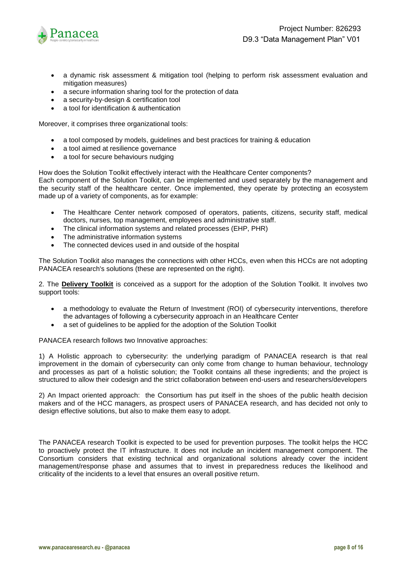

- a dynamic risk assessment & mitigation tool (helping to perform risk assessment evaluation and mitigation measures)
- a secure information sharing tool for the protection of data
- a security-by-design & certification tool
- a tool for identification & authentication

Moreover, it comprises three organizational tools:

- a tool composed by models, guidelines and best practices for training & education
- a tool aimed at resilience governance
- a tool for secure behaviours nudging

How does the Solution Toolkit effectively interact with the Healthcare Center components?

Each component of the Solution Toolkit, can be implemented and used separately by the management and the security staff of the healthcare center. Once implemented, they operate by protecting an ecosystem made up of a variety of components, as for example:

- The Healthcare Center network composed of operators, patients, citizens, security staff, medical doctors, nurses, top management, employees and administrative staff.
- The clinical information systems and related processes (EHP, PHR)
- The administrative information systems
- The connected devices used in and outside of the hospital

The Solution Toolkit also manages the connections with other HCCs, even when this HCCs are not adopting PANACEA research's solutions (these are represented on the right).

2. The **Delivery Toolkit** is conceived as a support for the adoption of the Solution Toolkit. It involves two support tools:

- a methodology to evaluate the Return of Investment (ROI) of cybersecurity interventions, therefore the advantages of following a cybersecurity approach in an Healthcare Center
- a set of guidelines to be applied for the adoption of the Solution Toolkit

PANACEA research follows two Innovative approaches:

1) A Holistic approach to cybersecurity: the underlying paradigm of PANACEA research is that real improvement in the domain of cybersecurity can only come from change to human behaviour, technology and processes as part of a holistic solution; the Toolkit contains all these ingredients; and the project is structured to allow their codesign and the strict collaboration between end-users and researchers/developers

2) An Impact oriented approach: the Consortium has put itself in the shoes of the public health decision makers and of the HCC managers, as prospect users of PANACEA research, and has decided not only to design effective solutions, but also to make them easy to adopt.

The PANACEA research Toolkit is expected to be used for prevention purposes. The toolkit helps the HCC to proactively protect the IT infrastructure. It does not include an incident management component. The Consortium considers that existing technical and organizational solutions already cover the incident management/response phase and assumes that to invest in preparedness reduces the likelihood and criticality of the incidents to a level that ensures an overall positive return.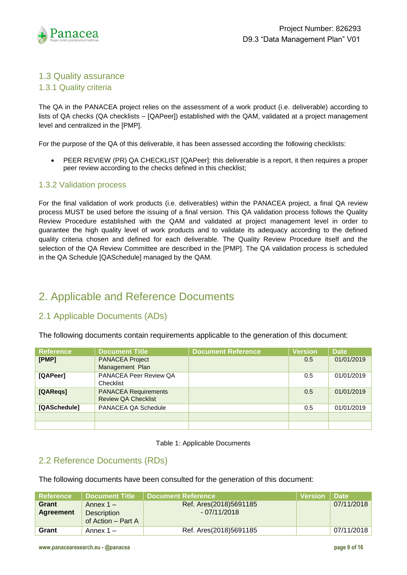

# 1.3 Quality assurance

#### <span id="page-8-1"></span><span id="page-8-0"></span>1.3.1 Quality criteria

The QA in the PANACEA project relies on the assessment of a work product (i.e. deliverable) according to lists of QA checks (QA checklists – [QAPeer]) established with the QAM, validated at a project management level and centralized in the [PMP].

For the purpose of the QA of this deliverable, it has been assessed according the following checklists:

 PEER REVIEW (PR) QA CHECKLIST [QAPeer]: this deliverable is a report, it then requires a proper peer review according to the checks defined in this checklist;

#### <span id="page-8-2"></span>1.3.2 Validation process

For the final validation of work products (i.e. deliverables) within the PANACEA project, a final QA review process MUST be used before the issuing of a final version. This QA validation process follows the Quality Review Procedure established with the QAM and validated at project management level in order to guarantee the high quality level of work products and to validate its adequacy according to the defined quality criteria chosen and defined for each deliverable. The Quality Review Procedure itself and the selection of the QA Review Committee are described in the [PMP]. The QA validation process is scheduled in the QA Schedule [QASchedule] managed by the QAM.

# <span id="page-8-3"></span>2. Applicable and Reference Documents

## <span id="page-8-4"></span>2.1 Applicable Documents (ADs)

The following documents contain requirements applicable to the generation of this document:

| <b>Reference</b> | <b>Document Title</b>                                     | <b>Document Reference</b> | <b>Version</b> | <b>Date</b> |
|------------------|-----------------------------------------------------------|---------------------------|----------------|-------------|
| [PMP]            | <b>PANACEA Project</b>                                    |                           | 0.5            | 01/01/2019  |
|                  | Management Plan                                           |                           |                |             |
| [QAPeer]         | PANACEA Peer Review QA<br>Checklist                       |                           | 0.5            | 01/01/2019  |
| [QAReqs]         | <b>PANACEA Requirements</b><br><b>Review QA Checklist</b> |                           | 0.5            | 01/01/2019  |
| [QASchedule]     | PANACEA QA Schedule                                       |                           | 0.5            | 01/01/2019  |
|                  |                                                           |                           |                |             |
|                  |                                                           |                           |                |             |

#### Table 1: Applicable Documents

## <span id="page-8-5"></span>2.2 Reference Documents (RDs)

The following documents have been consulted for the generation of this document:

| <b>Reference</b> | Document Title     | Document Reference     | Version | <b>Date</b> |
|------------------|--------------------|------------------------|---------|-------------|
| Grant            | Annex $1 -$        | Ref. Ares(2018)5691185 |         | 07/11/2018  |
| Agreement        | Description        | $-07/11/2018$          |         |             |
|                  | of Action – Part A |                        |         |             |
| Grant            | Annex $1 -$        | Ref. Ares(2018)5691185 |         | 07/11/2018  |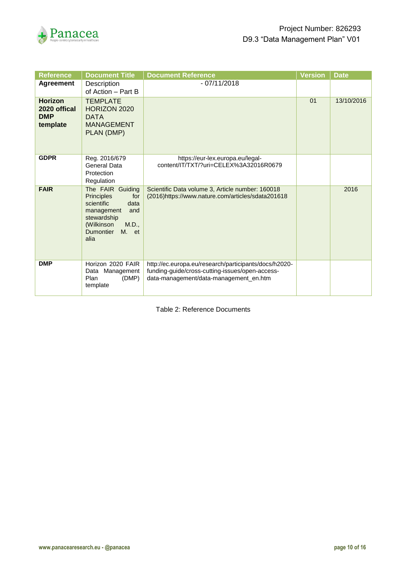

| <b>Reference</b>                                         | <b>Document Title</b>                                                                                                                                            | <b>Document Reference</b>                                                                                                                          | <b>Version</b> | <b>Date</b> |
|----------------------------------------------------------|------------------------------------------------------------------------------------------------------------------------------------------------------------------|----------------------------------------------------------------------------------------------------------------------------------------------------|----------------|-------------|
| <b>Agreement</b>                                         | Description<br>of Action - Part B                                                                                                                                | $-07/11/2018$                                                                                                                                      |                |             |
| <b>Horizon</b><br>2020 offical<br><b>DMP</b><br>template | <b>TEMPLATE</b><br>HORIZON 2020<br><b>DATA</b><br><b>MANAGEMENT</b><br>PLAN (DMP)                                                                                |                                                                                                                                                    | 01             | 13/10/2016  |
| <b>GDPR</b>                                              | Reg. 2016/679<br>General Data<br>Protection<br>Regulation                                                                                                        | https://eur-lex.europa.eu/legal-<br>content/IT/TXT/?uri=CELEX%3A32016R0679                                                                         |                |             |
| <b>FAIR</b>                                              | The FAIR Guiding<br><b>Principles</b><br>for<br>scientific<br>data<br>and<br>management<br>stewardship<br>(Wilkinson<br>M.D<br><b>Dumontier</b><br>M. et<br>alia | Scientific Data volume 3, Article number: 160018<br>(2016)https://www.nature.com/articles/sdata201618                                              |                | 2016        |
| <b>DMP</b>                                               | Horizon 2020 FAIR<br>Data Management<br>Plan<br>(DMP)<br>template                                                                                                | http://ec.europa.eu/research/participants/docs/h2020-<br>funding-guide/cross-cutting-issues/open-access-<br>data-management/data-management_en.htm |                |             |

<span id="page-9-0"></span>Table 2: Reference Documents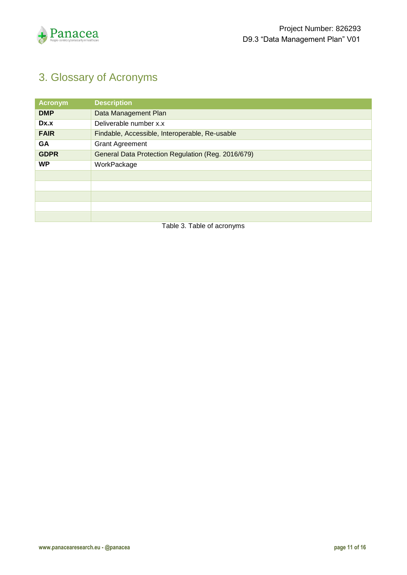

# <span id="page-10-0"></span>3. Glossary of Acronyms

| <b>Acronym</b> | <b>Description</b>                                 |
|----------------|----------------------------------------------------|
| <b>DMP</b>     | Data Management Plan                               |
| Dx.x           | Deliverable number x.x                             |
| <b>FAIR</b>    | Findable, Accessible, Interoperable, Re-usable     |
| <b>GA</b>      | <b>Grant Agreement</b>                             |
| <b>GDPR</b>    | General Data Protection Regulation (Reg. 2016/679) |
| <b>WP</b>      | WorkPackage                                        |
|                |                                                    |
|                |                                                    |
|                |                                                    |
|                |                                                    |
|                |                                                    |

Table 3. Table of acronyms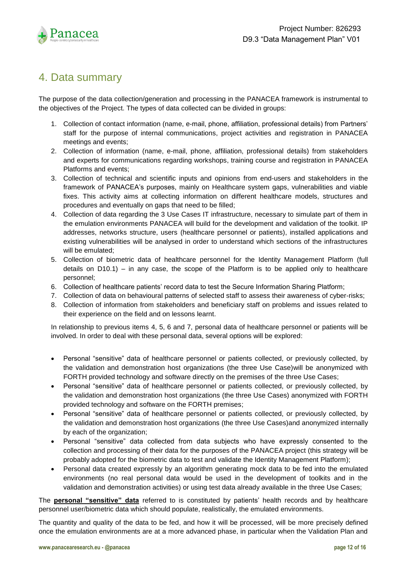

## <span id="page-11-0"></span>4. Data summary

The purpose of the data collection/generation and processing in the PANACEA framework is instrumental to the objectives of the Project. The types of data collected can be divided in groups:

- 1. Collection of contact information (name, e-mail, phone, affiliation, professional details) from Partners' staff for the purpose of internal communications, project activities and registration in PANACEA meetings and events;
- 2. Collection of information (name, e-mail, phone, affiliation, professional details) from stakeholders and experts for communications regarding workshops, training course and registration in PANACEA Platforms and events;
- 3. Collection of technical and scientific inputs and opinions from end-users and stakeholders in the framework of PANACEA's purposes, mainly on Healthcare system gaps, vulnerabilities and viable fixes. This activity aims at collecting information on different healthcare models, structures and procedures and eventually on gaps that need to be filled;
- 4. Collection of data regarding the 3 Use Cases IT infrastructure, necessary to simulate part of them in the emulation environments PANACEA will build for the development and validation of the toolkit. IP addresses, networks structure, users (healthcare personnel or patients), installed applications and existing vulnerabilities will be analysed in order to understand which sections of the infrastructures will be emulated;
- 5. Collection of biometric data of healthcare personnel for the Identity Management Platform (full details on  $D10.1$ ) – in any case, the scope of the Platform is to be applied only to healthcare personnel;
- 6. Collection of healthcare patients' record data to test the Secure Information Sharing Platform;
- 7. Collection of data on behavioural patterns of selected staff to assess their awareness of cyber-risks;
- 8. Collection of information from stakeholders and beneficiary staff on problems and issues related to their experience on the field and on lessons learnt.

In relationship to previous items 4, 5, 6 and 7, personal data of healthcare personnel or patients will be involved. In order to deal with these personal data, several options will be explored:

- Personal "sensitive" data of healthcare personnel or patients collected, or previously collected, by the validation and demonstration host organizations (the three Use Case)will be anonymized with FORTH provided technology and software directly on the premises of the three Use Cases;
- Personal "sensitive" data of healthcare personnel or patients collected, or previously collected, by the validation and demonstration host organizations (the three Use Cases) anonymized with FORTH provided technology and software on the FORTH premises;
- Personal "sensitive" data of healthcare personnel or patients collected, or previously collected, by the validation and demonstration host organizations (the three Use Cases)and anonymized internally by each of the organization;
- Personal "sensitive" data collected from data subjects who have expressly consented to the collection and processing of their data for the purposes of the PANACEA project (this strategy will be probably adopted for the biometric data to test and validate the Identity Management Platform);
- Personal data created expressly by an algorithm generating mock data to be fed into the emulated environments (no real personal data would be used in the development of toolkits and in the validation and demonstration activities) or using test data already available in the three Use Cases;

The **personal "sensitive" data** referred to is constituted by patients' health records and by healthcare personnel user/biometric data which should populate, realistically, the emulated environments.

The quantity and quality of the data to be fed, and how it will be processed, will be more precisely defined once the emulation environments are at a more advanced phase, in particular when the Validation Plan and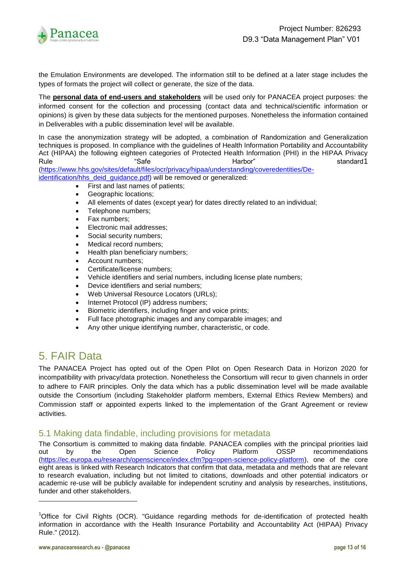

the Emulation Environments are developed. The information still to be defined at a later stage includes the types of formats the project will collect or generate, the size of the data.

The **personal data of end-users and stakeholders** will be used only for PANACEA project purposes: the informed consent for the collection and processing (contact data and technical/scientific information or opinions) is given by these data subjects for the mentioned purposes. Nonetheless the information contained in Deliverables with a public dissemination level will be available.

In case the anonymization strategy will be adopted, a combination of Randomization and Generalization techniques is proposed. In compliance with the guidelines of Health Information Portability and Accountability Act (HIPAA) the following eighteen categories of Protected Health Information (PHI) in the HIPAA Privacy Rule The Safe Test of Safe Harbor" and Standard1 Standard1 [\(https://www.hhs.gov/sites/default/files/ocr/privacy/hipaa/understanding/coveredentities/De-](https://www.hhs.gov/sites/default/files/ocr/privacy/hipaa/understanding/coveredentities/De-identification/hhs_deid_guidance.pdf)

[identification/hhs\\_deid\\_guidance.pdf\)](https://www.hhs.gov/sites/default/files/ocr/privacy/hipaa/understanding/coveredentities/De-identification/hhs_deid_guidance.pdf) will be removed or generalized:

- First and last names of patients;
- Geographic locations;
- All elements of dates (except year) for dates directly related to an individual;
- Telephone numbers;
- Fax numbers;
- Electronic mail addresses:
- Social security numbers;
- Medical record numbers;
- Health plan beneficiary numbers;
- Account numbers;
- Certificate/license numbers;
- Vehicle identifiers and serial numbers, including license plate numbers;
- Device identifiers and serial numbers;
- Web Universal Resource Locators (URLs);
- Internet Protocol (IP) address numbers;
- Biometric identifiers, including finger and voice prints;
- Full face photographic images and any comparable images; and
- Any other unique identifying number, characteristic, or code.

# <span id="page-12-0"></span>5. FAIR Data

The PANACEA Project has opted out of the Open Pilot on Open Research Data in Horizon 2020 for incompatibility with privacy/data protection. Nonetheless the Consortium will recur to given channels in order to adhere to FAIR principles. Only the data which has a public dissemination level will be made available outside the Consortium (including Stakeholder platform members, External Ethics Review Members) and Commission staff or appointed experts linked to the implementation of the Grant Agreement or review activities.

### <span id="page-12-1"></span>5.1 Making data findable, including provisions for metadata

The Consortium is committed to making data findable. PANACEA complies with the principal priorities laid out by the Open Science Policy Platform OSSP recommendations [\(https://ec.europa.eu/research/openscience/index.cfm?pg=open-science-policy-platform\)](https://ec.europa.eu/research/openscience/index.cfm?pg=open-science-policy-platform), one of the core eight areas is linked with Research Indicators that confirm that data, metadata and methods that are relevant to research evaluation, including but not limited to citations, downloads and other potential indicators or academic re-use will be publicly available for independent scrutiny and analysis by researches, institutions, funder and other stakeholders.

<sup>&</sup>lt;sup>1</sup>Office for Civil Rights (OCR). "Guidance regarding methods for de-identification of protected health information in accordance with the Health Insurance Portability and Accountability Act (HIPAA) Privacy Rule." (2012).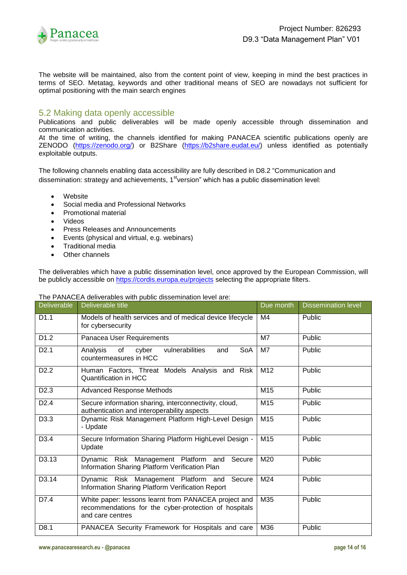

The website will be maintained, also from the content point of view, keeping in mind the best practices in terms of SEO. Metatag, keywords and other traditional means of SEO are nowadays not sufficient for optimal positioning with the main search engines

#### <span id="page-13-0"></span>5.2 Making data openly accessible

Publications and public deliverables will be made openly accessible through dissemination and communication activities.

At the time of writing, the channels identified for making PANACEA scientific publications openly are ZENODO [\(https://zenodo.org/\)](https://zenodo.org/) or B2Share [\(https://b2share.eudat.eu/\)](https://b2share.eudat.eu/) unless identified as potentially exploitable outputs.

The following channels enabling data accessibility are fully described in D8.2 "Communication and dissemination: strategy and achievements,  $1<sup>st</sup>$  version" which has a public dissemination level:

- Website
- Social media and Professional Networks
- Promotional material
- Videos
- Press Releases and Announcements
- Events (physical and virtual, e.g. webinars)
- **•** Traditional media
- Other channels

The deliverables which have a public dissemination level, once approved by the European Commission, will be publicly accessible on<https://cordis.europa.eu/projects> selecting the appropriate filters.

| Deliverable      | Deliverable title                                                                                                                 | Due month      | <b>Dissemination level</b> |
|------------------|-----------------------------------------------------------------------------------------------------------------------------------|----------------|----------------------------|
| D <sub>1.1</sub> | Models of health services and of medical device lifecycle<br>for cybersecurity                                                    | M4             | Public                     |
| D1.2             | Panacea User Requirements                                                                                                         | M7             | Public                     |
| D <sub>2.1</sub> | vulnerabilities<br>Analysis<br>of<br>cyber<br>SoA<br>and<br>countermeasures in HCC                                                | M <sub>7</sub> | Public                     |
| D <sub>2.2</sub> | Human Factors, Threat Models Analysis and Risk<br>Quantification in HCC                                                           | M12            | Public                     |
| D <sub>2.3</sub> | <b>Advanced Response Methods</b>                                                                                                  | M15            | Public                     |
| D2.4             | Secure information sharing, interconnectivity, cloud,<br>authentication and interoperability aspects                              | M15            | Public                     |
| D3.3             | Dynamic Risk Management Platform High-Level Design<br>- Update                                                                    | M15            | Public                     |
| D <sub>3.4</sub> | Secure Information Sharing Platform HighLevel Design -<br>Update                                                                  | M15            | Public                     |
| D3.13            | Dynamic Risk Management Platform and Secure<br>Information Sharing Platform Verification Plan                                     | M20            | Public                     |
| D3.14            | Dynamic Risk Management Platform and<br>Secure<br>Information Sharing Platform Verification Report                                | M24            | Public                     |
| D7.4             | White paper: lessons learnt from PANACEA project and<br>recommendations for the cyber-protection of hospitals<br>and care centres | M35            | Public                     |
| D8.1             | PANACEA Security Framework for Hospitals and care                                                                                 | M36            | Public                     |

The PANACEA deliverables with public dissemination level are: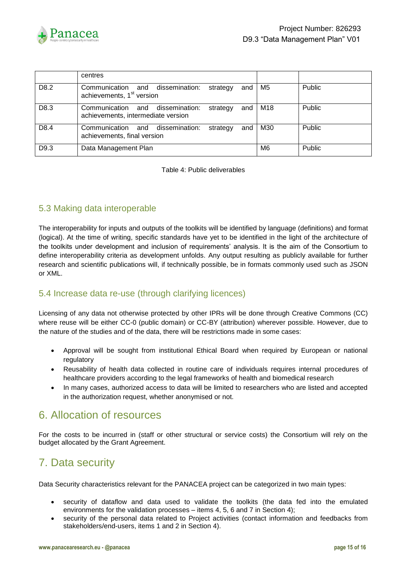

|      | centres                                                                                         |                |               |
|------|-------------------------------------------------------------------------------------------------|----------------|---------------|
| D8.2 | Communication and dissemination:<br>strategy<br>and<br>achievements, 1 <sup>st</sup> version    | M5             | <b>Public</b> |
| D8.3 | Communication<br>dissemination:<br>and<br>and<br>strategy<br>achievements, intermediate version | M18            | Public        |
| D8.4 | Communication<br>and dissemination:<br>strategy<br>and<br>achievements, final version           | M30            | <b>Public</b> |
| D9.3 | Data Management Plan                                                                            | M <sub>6</sub> | Public        |

Table 4: Public deliverables

### <span id="page-14-0"></span>5.3 Making data interoperable

The interoperability for inputs and outputs of the toolkits will be identified by language (definitions) and format (logical). At the time of writing, specific standards have yet to be identified in the light of the architecture of the toolkits under development and inclusion of requirements' analysis. It is the aim of the Consortium to define interoperability criteria as development unfolds. Any output resulting as publicly available for further research and scientific publications will, if technically possible, be in formats commonly used such as JSON or XML.

## <span id="page-14-1"></span>5.4 Increase data re-use (through clarifying licences)

Licensing of any data not otherwise protected by other IPRs will be done through Creative Commons (CC) where reuse will be either CC-0 (public domain) or CC-BY (attribution) wherever possible. However, due to the nature of the studies and of the data, there will be restrictions made in some cases:

- Approval will be sought from institutional Ethical Board when required by European or national regulatory
- Reusability of health data collected in routine care of individuals requires internal procedures of healthcare providers according to the legal frameworks of health and biomedical research
- In many cases, authorized access to data will be limited to researchers who are listed and accepted in the authorization request, whether anonymised or not.

## <span id="page-14-2"></span>6. Allocation of resources

For the costs to be incurred in (staff or other structural or service costs) the Consortium will rely on the budget allocated by the Grant Agreement.

# <span id="page-14-3"></span>7. Data security

Data Security characteristics relevant for the PANACEA project can be categorized in two main types:

- security of dataflow and data used to validate the toolkits (the data fed into the emulated environments for the validation processes – items 4, 5, 6 and 7 in Section [4\)](#page-11-0);
- security of the personal data related to Project activities (contact information and feedbacks from stakeholders/end-users, items 1 and 2 in Section [4\)](#page-11-0).